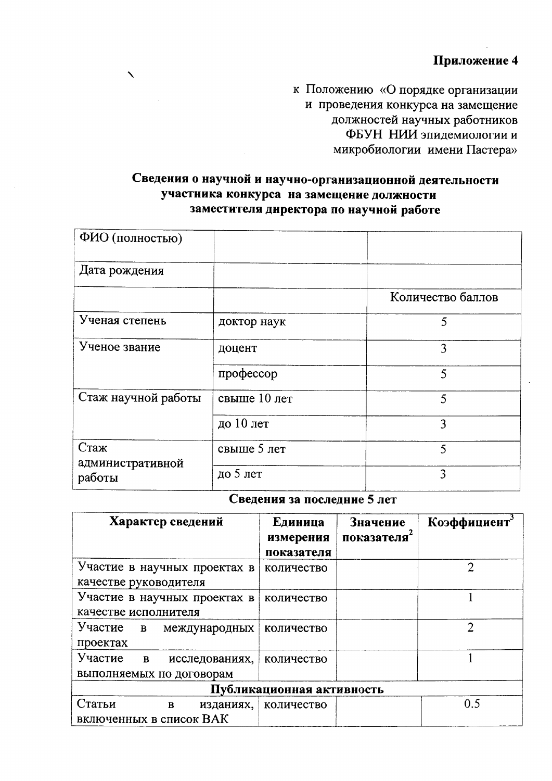к Положению «О порядке организации и проведения конкурса на замещение должностей научных работников ФБУН НИИ эпидемиологии и микробиологии имени Пастера»

## Сведения о научной и научно-организационной деятельности участника конкурса на замещение должности заместителя директора по научной работе

 $\boldsymbol{\lambda}$ 

| ФИО (полностью)          |              |                   |
|--------------------------|--------------|-------------------|
| Дата рождения            |              |                   |
|                          |              | Количество баллов |
| Ученая степень           | доктор наук  | 5                 |
| Ученое звание            | доцент       | 3                 |
|                          | профессор    | 5                 |
| Стаж научной работы      | свыше 10 лет | 5                 |
|                          | до 10 лет    | 3                 |
| Стаж<br>административной | свыше 5 лет  | $\varsigma$       |
| работы                   | до 5 лет     | 3                 |

## Сведения за последние 5 лет

| Характер сведений                                                     | Единица<br>измерения<br>показателя | Значение<br>показателя | Коэффициент    |  |
|-----------------------------------------------------------------------|------------------------------------|------------------------|----------------|--|
| Участие в научных проектах в<br>качестве руководителя                 | количество                         |                        | 2              |  |
| Участие в научных проектах в<br>качестве исполнителя                  | количество                         |                        |                |  |
| Участие<br>B<br>международных<br>проектах                             | количество                         |                        | $\mathfrak{D}$ |  |
| Участие<br>$\mathbf{B}$<br>исследованиях,<br>выполняемых по договорам | количество                         |                        |                |  |
| Публикационная активность                                             |                                    |                        |                |  |
| Статьи<br>$\bf{B}$<br>изданиях,<br>включенных в список ВАК            | количество                         |                        | 0.5            |  |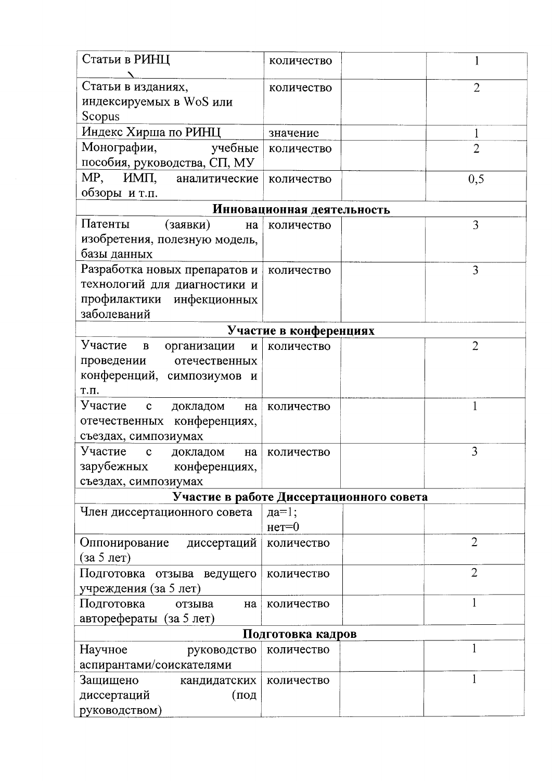| Статьи в РИНЦ                                          | количество                               |                     |
|--------------------------------------------------------|------------------------------------------|---------------------|
| Статьи в изданиях,                                     | количество                               | $\overline{2}$      |
| индексируемых в WoS или                                |                                          |                     |
| Scopus                                                 |                                          |                     |
| Индекс Хирша по РИНЦ                                   |                                          |                     |
| Монографии,<br>учебные                                 | значение                                 | 1<br>$\overline{2}$ |
| пособия, руководства, СП, МУ                           | количество                               |                     |
| MP,<br>ИМП,<br>аналитические                           |                                          |                     |
| обзоры и т.п.                                          | количество                               | 0,5                 |
|                                                        |                                          |                     |
| Патенты                                                | Инновационная деятельность               |                     |
| (заявки)<br>на                                         | количество                               | 3                   |
| изобретения, полезную модель,                          |                                          |                     |
| базы данных                                            |                                          |                     |
| Разработка новых препаратов и                          | количество                               | 3                   |
| технологий для диагностики и                           |                                          |                     |
| профилактики инфекционных                              |                                          |                     |
| заболеваний                                            |                                          |                     |
|                                                        | Участие в конференциях                   |                     |
| Участие<br>$\, {\bf B}$<br>организации<br>$\mathbf{N}$ | количество                               | $\overline{2}$      |
| проведении<br>отечественных                            |                                          |                     |
| конференций, симпозиумов и                             |                                          |                     |
| Т.П.                                                   |                                          |                     |
| Участие с<br>докладом<br>на                            | количество                               |                     |
| отечественных конференциях,                            |                                          |                     |
| съездах, симпозиумах                                   |                                          |                     |
| Участие<br>$\mathbf c$<br>докладом<br>на               | количество                               | 3                   |
| зарубежных конференциях,                               |                                          |                     |
| съездах, симпозиумах                                   |                                          |                     |
|                                                        | Участие в работе Диссертационного совета |                     |
| Член диссертационного совета                           | да= $1$ ;                                |                     |
|                                                        | $Her=0$                                  |                     |
| диссертаций<br>Оппонирование                           | количество                               | $\overline{2}$      |
| (за 5 лет)                                             |                                          |                     |
| Подготовка<br>отзыва ведущего                          | количество                               | $\overline{2}$      |
| учреждения (за 5 лет)                                  |                                          |                     |
| Подготовка<br>отзыва<br>на                             | количество                               |                     |
| авторефераты (за 5 лет)                                |                                          |                     |
|                                                        | Подготовка кадров                        |                     |
| Научное<br>руководство                                 | количество                               |                     |
| аспирантами/соискателями                               |                                          |                     |
| Защищено<br>кандидатских                               | количество                               |                     |
| диссертаций<br>(под                                    |                                          |                     |
| руководством)                                          |                                          |                     |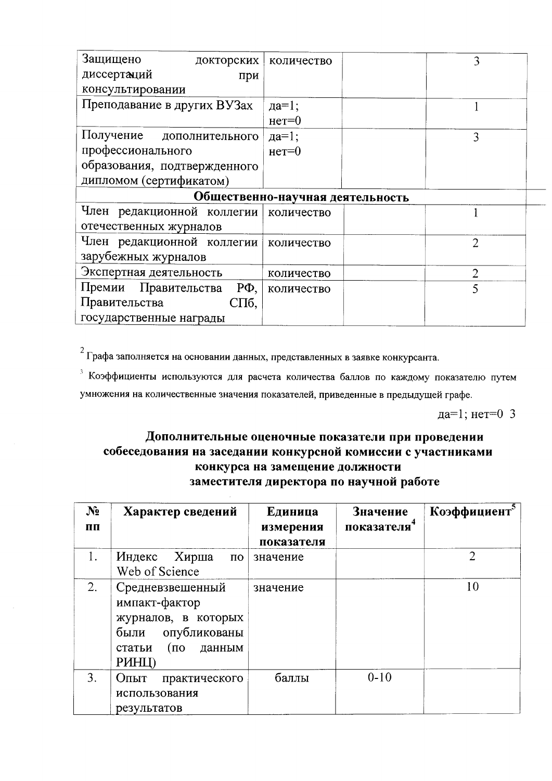| Защищено<br>докторских            | количество | 3              |  |
|-----------------------------------|------------|----------------|--|
| диссертаций<br>при                |            |                |  |
| консультировании                  |            |                |  |
| Преподавание в других ВУЗах       | да= $1$ ;  |                |  |
|                                   | $Her=0$    |                |  |
| Получение дополнительного         | $\mu$ а=1; | 3              |  |
| профессионального                 | $Her=0$    |                |  |
| образования, подтвержденного      |            |                |  |
| дипломом (сертификатом)           |            |                |  |
| Общественно-научная деятельность  |            |                |  |
|                                   |            |                |  |
| Член редакционной коллегии        | количество |                |  |
| отечественных журналов            |            |                |  |
| Член редакционной коллегии        | количество | $\overline{2}$ |  |
| зарубежных журналов               |            |                |  |
| Экспертная деятельность           | количество | $\overline{2}$ |  |
| Премии Правительства<br>$P\Phi$ , | количество | 5              |  |
| Правительства<br>СПб,             |            |                |  |

<sup>2</sup> Графа заполняется на основании данных, представленных в заявке конкурсанта.

<sup>3</sup> Коэффициенты используются для расчета количества баллов по каждому показателю путем умножения на количественные значения показателей, приведенные в предыдущей графе.

да=1; нет=0 3

## Дополнительные оценочные показатели при проведении собеседования на заседании конкурсной комиссии с участниками конкурса на замещение должности заместителя директора по научной работе

| $N_2$<br>ПП | Характер сведений                                                                                                            | Единица<br>измерения<br>показателя | Значение<br>показателя | Коэффициент <sup>5</sup> |
|-------------|------------------------------------------------------------------------------------------------------------------------------|------------------------------------|------------------------|--------------------------|
| 1.          | Хирша<br>Индекс<br>$\overline{a}$<br>Web of Science                                                                          | значение                           |                        | $\mathfrak{D}$           |
| 2.          | Средневзвешенный<br>импакт-фактор<br>журналов, в которых<br>опубликованы<br>были<br>статьи<br>$(10^{-1})$<br>данным<br>PHHI) | значение                           |                        | 10                       |
| 3.          | Опыт<br>практического<br>использования<br>результатов                                                                        | баллы                              | $0 - 10$               |                          |